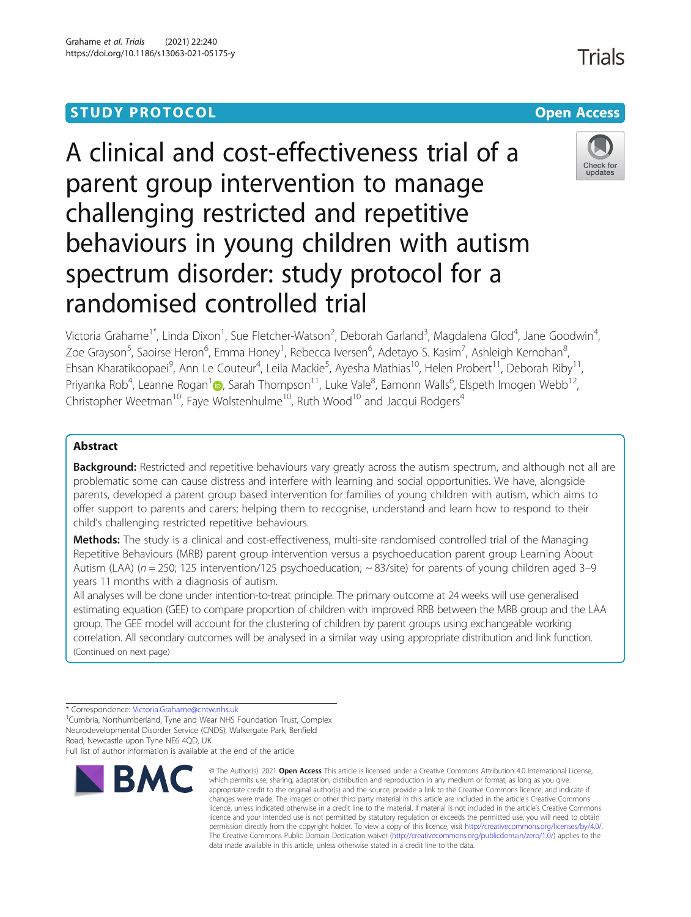# **STUDY PROTOCOL CONSUMING THE RESERVE ACCESS**

# A clinical and cost-effectiveness trial of a parent group intervention to manage challenging restricted and repetitive behaviours in young children with autism spectrum disorder: study protocol for a



,

Victoria Grahame<sup>1\*</sup>, Linda Dixon<sup>1</sup>, Sue Fletcher-Watson<sup>2</sup>, Deborah Garland<sup>3</sup>, Magdalena Glod<sup>4</sup>, Jane Goodwin<sup>4</sup> Zoe Grayson<sup>5</sup>, Saoirse Heron<sup>6</sup>, Emma Honey<sup>1</sup>, Rebecca Iversen<sup>6</sup>, Adetayo S. Kasim<sup>7</sup>, Ashleigh Kernohan<sup>8</sup> ;<br>, Ehsan Kharatikoopaei<sup>9</sup>, Ann Le Couteur<sup>4</sup>, Leila Mackie<sup>5</sup>, Ayesha Mathias<sup>10</sup>, Helen Probert<sup>11</sup>, Deborah Riby<sup>11</sup>, Priyanka Rob<sup>4</sup>, Leanne Rogan<sup>[1](http://orcid.org/0000-0002-8707-9975)</sup> (@, Sarah Thompson<sup>11</sup>, Luke Vale<sup>8</sup>, Eamonn Walls<sup>6</sup>, Elspeth Imogen Webb<sup>12</sup>, Christopher Weetman<sup>10</sup>, Faye Wolstenhulme<sup>10</sup>, Ruth Wood<sup>10</sup> and Jacqui Rodgers<sup>4</sup>

## Abstract

**Background:** Restricted and repetitive behaviours vary greatly across the autism spectrum, and although not all are problematic some can cause distress and interfere with learning and social opportunities. We have, alongside parents, developed a parent group based intervention for families of young children with autism, which aims to offer support to parents and carers; helping them to recognise, understand and learn how to respond to their child's challenging restricted repetitive behaviours.

Methods: The study is a clinical and cost-effectiveness, multi-site randomised controlled trial of the Managing Repetitive Behaviours (MRB) parent group intervention versus a psychoeducation parent group Learning About Autism (LAA) ( $n = 250$ ; 125 intervention/125 psychoeducation;  $\sim 83$ /site) for parents of young children aged 3–9 years 11 months with a diagnosis of autism.

All analyses will be done under intention-to-treat principle. The primary outcome at 24 weeks will use generalised estimating equation (GEE) to compare proportion of children with improved RRB between the MRB group and the LAA group. The GEE model will account for the clustering of children by parent groups using exchangeable working correlation. All secondary outcomes will be analysed in a similar way using appropriate distribution and link function. (Continued on next page)

randomised controlled trial

Full list of author information is available at the end of the article



<sup>©</sup> The Author(s), 2021 **Open Access** This article is licensed under a Creative Commons Attribution 4.0 International License, which permits use, sharing, adaptation, distribution and reproduction in any medium or format, as long as you give appropriate credit to the original author(s) and the source, provide a link to the Creative Commons licence, and indicate if changes were made. The images or other third party material in this article are included in the article's Creative Commons licence, unless indicated otherwise in a credit line to the material. If material is not included in the article's Creative Commons licence and your intended use is not permitted by statutory regulation or exceeds the permitted use, you will need to obtain permission directly from the copyright holder. To view a copy of this licence, visit [http://creativecommons.org/licenses/by/4.0/.](http://creativecommons.org/licenses/by/4.0/) The Creative Commons Public Domain Dedication waiver [\(http://creativecommons.org/publicdomain/zero/1.0/](http://creativecommons.org/publicdomain/zero/1.0/)) applies to the data made available in this article, unless otherwise stated in a credit line to the data.

Check for undates

<sup>\*</sup> Correspondence: [Victoria.Grahame@cntw.nhs.uk](mailto:Victoria.Grahame@cntw.nhs.uk)<br><sup>1</sup>Cumbria, Northumberland, Tyne and Wear NHS Foundation Trust, Complex Neurodevelopmental Disorder Service (CNDS), Walkergate Park, Benfield Road, Newcastle upon Tyne NE6 4QD, UK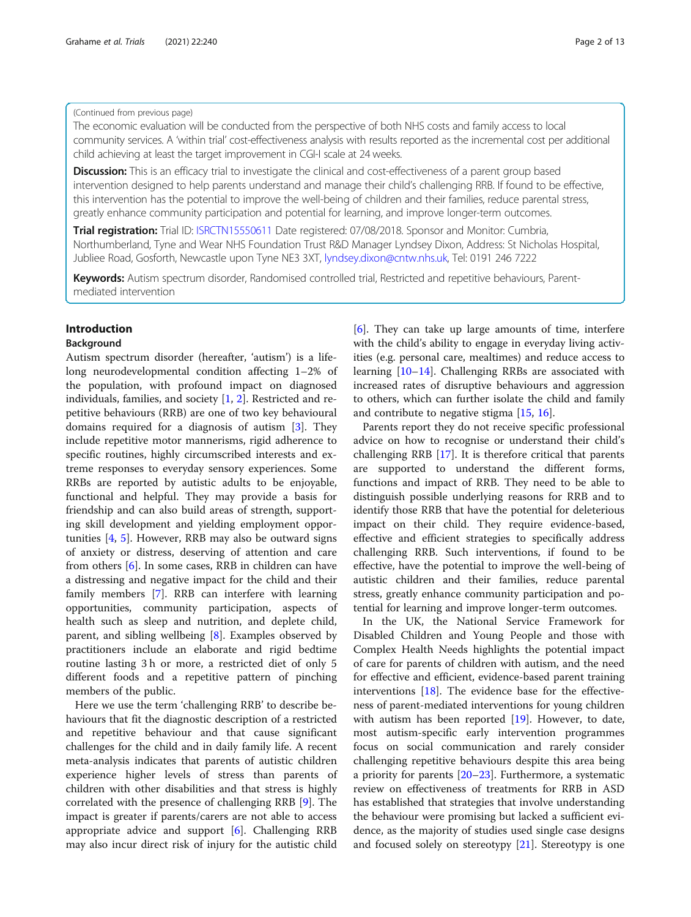#### (Continued from previous page)

The economic evaluation will be conducted from the perspective of both NHS costs and family access to local community services. A 'within trial' cost-effectiveness analysis with results reported as the incremental cost per additional child achieving at least the target improvement in CGI-I scale at 24 weeks.

Discussion: This is an efficacy trial to investigate the clinical and cost-effectiveness of a parent group based intervention designed to help parents understand and manage their child's challenging RRB. If found to be effective, this intervention has the potential to improve the well-being of children and their families, reduce parental stress, greatly enhance community participation and potential for learning, and improve longer-term outcomes.

Trial registration: Trial ID: [ISRCTN15550611](https://doi.org/10.1186/ISRCTN15550611) Date registered: 07/08/2018. Sponsor and Monitor: Cumbria, Northumberland, Tyne and Wear NHS Foundation Trust R&D Manager Lyndsey Dixon, Address: St Nicholas Hospital, Jubliee Road, Gosforth, Newcastle upon Tyne NE3 3XT, [lyndsey.dixon@cntw.nhs.uk,](mailto:lyndsey.dixon@cntw.nhs.uk) Tel: 0191 246 7222

Keywords: Autism spectrum disorder, Randomised controlled trial, Restricted and repetitive behaviours, Parentmediated intervention

## Introduction

## Background

Autism spectrum disorder (hereafter, 'autism') is a lifelong neurodevelopmental condition affecting 1–2% of the population, with profound impact on diagnosed individuals, families, and society [\[1,](#page-11-0) [2\]](#page-11-0). Restricted and repetitive behaviours (RRB) are one of two key behavioural domains required for a diagnosis of autism [\[3](#page-11-0)]. They include repetitive motor mannerisms, rigid adherence to specific routines, highly circumscribed interests and extreme responses to everyday sensory experiences. Some RRBs are reported by autistic adults to be enjoyable, functional and helpful. They may provide a basis for friendship and can also build areas of strength, supporting skill development and yielding employment opportunities [[4](#page-11-0), [5\]](#page-11-0). However, RRB may also be outward signs of anxiety or distress, deserving of attention and care from others [\[6](#page-11-0)]. In some cases, RRB in children can have a distressing and negative impact for the child and their family members [\[7\]](#page-11-0). RRB can interfere with learning opportunities, community participation, aspects of health such as sleep and nutrition, and deplete child, parent, and sibling wellbeing [\[8](#page-11-0)]. Examples observed by practitioners include an elaborate and rigid bedtime routine lasting 3 h or more, a restricted diet of only 5 different foods and a repetitive pattern of pinching members of the public.

Here we use the term 'challenging RRB' to describe behaviours that fit the diagnostic description of a restricted and repetitive behaviour and that cause significant challenges for the child and in daily family life. A recent meta-analysis indicates that parents of autistic children experience higher levels of stress than parents of children with other disabilities and that stress is highly correlated with the presence of challenging RRB [[9\]](#page-11-0). The impact is greater if parents/carers are not able to access appropriate advice and support [\[6](#page-11-0)]. Challenging RRB may also incur direct risk of injury for the autistic child

[[6\]](#page-11-0). They can take up large amounts of time, interfere with the child's ability to engage in everyday living activities (e.g. personal care, mealtimes) and reduce access to learning [\[10](#page-11-0)–[14\]](#page-11-0). Challenging RRBs are associated with increased rates of disruptive behaviours and aggression to others, which can further isolate the child and family and contribute to negative stigma [[15](#page-11-0), [16](#page-11-0)].

Parents report they do not receive specific professional advice on how to recognise or understand their child's challenging RRB [\[17\]](#page-11-0). It is therefore critical that parents are supported to understand the different forms, functions and impact of RRB. They need to be able to distinguish possible underlying reasons for RRB and to identify those RRB that have the potential for deleterious impact on their child. They require evidence-based, effective and efficient strategies to specifically address challenging RRB. Such interventions, if found to be effective, have the potential to improve the well-being of autistic children and their families, reduce parental stress, greatly enhance community participation and potential for learning and improve longer-term outcomes.

In the UK, the National Service Framework for Disabled Children and Young People and those with Complex Health Needs highlights the potential impact of care for parents of children with autism, and the need for effective and efficient, evidence-based parent training interventions [[18\]](#page-11-0). The evidence base for the effectiveness of parent-mediated interventions for young children with autism has been reported [[19](#page-11-0)]. However, to date, most autism-specific early intervention programmes focus on social communication and rarely consider challenging repetitive behaviours despite this area being a priority for parents [\[20](#page-11-0)–[23\]](#page-11-0). Furthermore, a systematic review on effectiveness of treatments for RRB in ASD has established that strategies that involve understanding the behaviour were promising but lacked a sufficient evidence, as the majority of studies used single case designs and focused solely on stereotypy [[21\]](#page-11-0). Stereotypy is one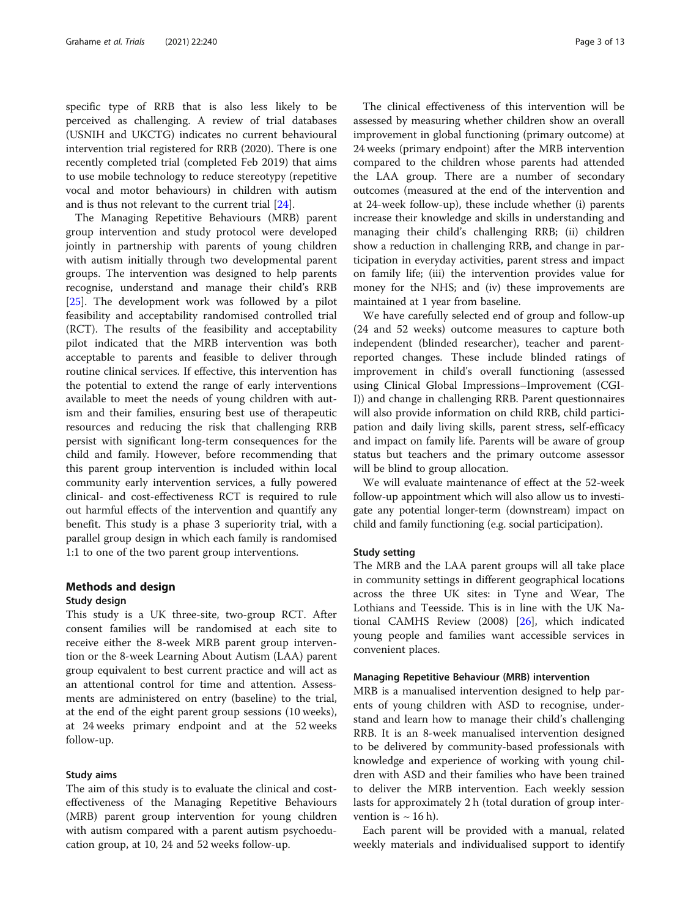specific type of RRB that is also less likely to be perceived as challenging. A review of trial databases (USNIH and UKCTG) indicates no current behavioural intervention trial registered for RRB (2020). There is one recently completed trial (completed Feb 2019) that aims to use mobile technology to reduce stereotypy (repetitive vocal and motor behaviours) in children with autism and is thus not relevant to the current trial [\[24\]](#page-11-0).

The Managing Repetitive Behaviours (MRB) parent group intervention and study protocol were developed jointly in partnership with parents of young children with autism initially through two developmental parent groups. The intervention was designed to help parents recognise, understand and manage their child's RRB [[25\]](#page-11-0). The development work was followed by a pilot feasibility and acceptability randomised controlled trial (RCT). The results of the feasibility and acceptability pilot indicated that the MRB intervention was both acceptable to parents and feasible to deliver through routine clinical services. If effective, this intervention has the potential to extend the range of early interventions available to meet the needs of young children with autism and their families, ensuring best use of therapeutic resources and reducing the risk that challenging RRB persist with significant long-term consequences for the child and family. However, before recommending that this parent group intervention is included within local community early intervention services, a fully powered clinical- and cost-effectiveness RCT is required to rule out harmful effects of the intervention and quantify any benefit. This study is a phase 3 superiority trial, with a parallel group design in which each family is randomised 1:1 to one of the two parent group interventions.

## Methods and design Study design

This study is a UK three-site, two-group RCT. After consent families will be randomised at each site to receive either the 8-week MRB parent group intervention or the 8-week Learning About Autism (LAA) parent group equivalent to best current practice and will act as an attentional control for time and attention. Assessments are administered on entry (baseline) to the trial, at the end of the eight parent group sessions (10 weeks), at 24 weeks primary endpoint and at the 52 weeks follow-up.

## Study aims

The aim of this study is to evaluate the clinical and costeffectiveness of the Managing Repetitive Behaviours (MRB) parent group intervention for young children with autism compared with a parent autism psychoeducation group, at 10, 24 and 52 weeks follow-up.

The clinical effectiveness of this intervention will be assessed by measuring whether children show an overall improvement in global functioning (primary outcome) at 24 weeks (primary endpoint) after the MRB intervention compared to the children whose parents had attended the LAA group. There are a number of secondary outcomes (measured at the end of the intervention and at 24-week follow-up), these include whether (i) parents increase their knowledge and skills in understanding and managing their child's challenging RRB; (ii) children show a reduction in challenging RRB, and change in participation in everyday activities, parent stress and impact on family life; (iii) the intervention provides value for money for the NHS; and (iv) these improvements are maintained at 1 year from baseline.

We have carefully selected end of group and follow-up (24 and 52 weeks) outcome measures to capture both independent (blinded researcher), teacher and parentreported changes. These include blinded ratings of improvement in child's overall functioning (assessed using Clinical Global Impressions–Improvement (CGI-I)) and change in challenging RRB. Parent questionnaires will also provide information on child RRB, child participation and daily living skills, parent stress, self-efficacy and impact on family life. Parents will be aware of group status but teachers and the primary outcome assessor will be blind to group allocation.

We will evaluate maintenance of effect at the 52-week follow-up appointment which will also allow us to investigate any potential longer-term (downstream) impact on child and family functioning (e.g. social participation).

#### Study setting

The MRB and the LAA parent groups will all take place in community settings in different geographical locations across the three UK sites: in Tyne and Wear, The Lothians and Teesside. This is in line with the UK National CAMHS Review (2008) [\[26\]](#page-11-0), which indicated young people and families want accessible services in convenient places.

### Managing Repetitive Behaviour (MRB) intervention

MRB is a manualised intervention designed to help parents of young children with ASD to recognise, understand and learn how to manage their child's challenging RRB. It is an 8-week manualised intervention designed to be delivered by community-based professionals with knowledge and experience of working with young children with ASD and their families who have been trained to deliver the MRB intervention. Each weekly session lasts for approximately 2 h (total duration of group intervention is  $\sim$  16 h).

Each parent will be provided with a manual, related weekly materials and individualised support to identify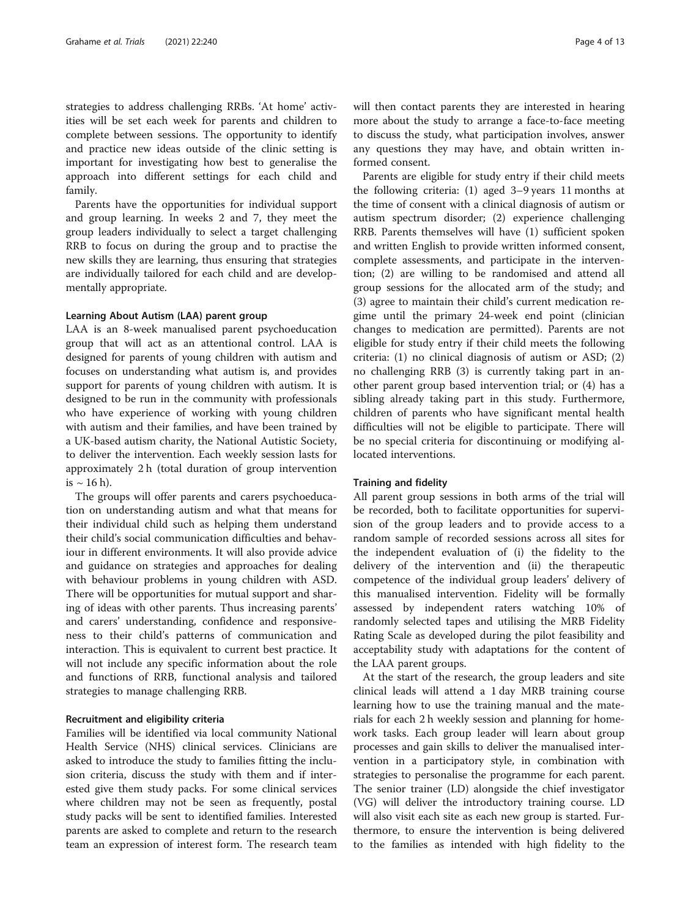strategies to address challenging RRBs. 'At home' activities will be set each week for parents and children to complete between sessions. The opportunity to identify and practice new ideas outside of the clinic setting is important for investigating how best to generalise the approach into different settings for each child and family.

Parents have the opportunities for individual support and group learning. In weeks 2 and 7, they meet the group leaders individually to select a target challenging RRB to focus on during the group and to practise the new skills they are learning, thus ensuring that strategies are individually tailored for each child and are developmentally appropriate.

## Learning About Autism (LAA) parent group

LAA is an 8-week manualised parent psychoeducation group that will act as an attentional control. LAA is designed for parents of young children with autism and focuses on understanding what autism is, and provides support for parents of young children with autism. It is designed to be run in the community with professionals who have experience of working with young children with autism and their families, and have been trained by a UK-based autism charity, the National Autistic Society, to deliver the intervention. Each weekly session lasts for approximately 2 h (total duration of group intervention is  $\sim 16$  h).

The groups will offer parents and carers psychoeducation on understanding autism and what that means for their individual child such as helping them understand their child's social communication difficulties and behaviour in different environments. It will also provide advice and guidance on strategies and approaches for dealing with behaviour problems in young children with ASD. There will be opportunities for mutual support and sharing of ideas with other parents. Thus increasing parents' and carers' understanding, confidence and responsiveness to their child's patterns of communication and interaction. This is equivalent to current best practice. It will not include any specific information about the role and functions of RRB, functional analysis and tailored strategies to manage challenging RRB.

## Recruitment and eligibility criteria

Families will be identified via local community National Health Service (NHS) clinical services. Clinicians are asked to introduce the study to families fitting the inclusion criteria, discuss the study with them and if interested give them study packs. For some clinical services where children may not be seen as frequently, postal study packs will be sent to identified families. Interested parents are asked to complete and return to the research team an expression of interest form. The research team will then contact parents they are interested in hearing more about the study to arrange a face-to-face meeting to discuss the study, what participation involves, answer any questions they may have, and obtain written informed consent.

Parents are eligible for study entry if their child meets the following criteria: (1) aged 3–9 years 11 months at the time of consent with a clinical diagnosis of autism or autism spectrum disorder; (2) experience challenging RRB. Parents themselves will have (1) sufficient spoken and written English to provide written informed consent, complete assessments, and participate in the intervention; (2) are willing to be randomised and attend all group sessions for the allocated arm of the study; and (3) agree to maintain their child's current medication regime until the primary 24-week end point (clinician changes to medication are permitted). Parents are not eligible for study entry if their child meets the following criteria: (1) no clinical diagnosis of autism or ASD; (2) no challenging RRB (3) is currently taking part in another parent group based intervention trial; or (4) has a sibling already taking part in this study. Furthermore, children of parents who have significant mental health difficulties will not be eligible to participate. There will be no special criteria for discontinuing or modifying allocated interventions.

#### Training and fidelity

All parent group sessions in both arms of the trial will be recorded, both to facilitate opportunities for supervision of the group leaders and to provide access to a random sample of recorded sessions across all sites for the independent evaluation of (i) the fidelity to the delivery of the intervention and (ii) the therapeutic competence of the individual group leaders' delivery of this manualised intervention. Fidelity will be formally assessed by independent raters watching 10% of randomly selected tapes and utilising the MRB Fidelity Rating Scale as developed during the pilot feasibility and acceptability study with adaptations for the content of the LAA parent groups.

At the start of the research, the group leaders and site clinical leads will attend a 1 day MRB training course learning how to use the training manual and the materials for each 2 h weekly session and planning for homework tasks. Each group leader will learn about group processes and gain skills to deliver the manualised intervention in a participatory style, in combination with strategies to personalise the programme for each parent. The senior trainer (LD) alongside the chief investigator (VG) will deliver the introductory training course. LD will also visit each site as each new group is started. Furthermore, to ensure the intervention is being delivered to the families as intended with high fidelity to the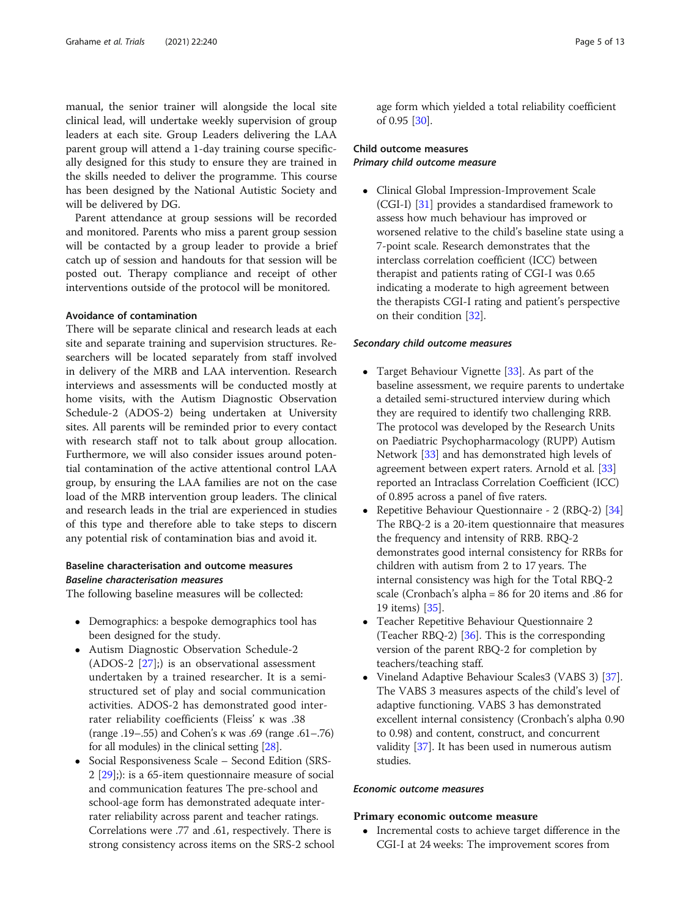manual, the senior trainer will alongside the local site clinical lead, will undertake weekly supervision of group leaders at each site. Group Leaders delivering the LAA parent group will attend a 1-day training course specifically designed for this study to ensure they are trained in the skills needed to deliver the programme. This course has been designed by the National Autistic Society and will be delivered by DG.

Parent attendance at group sessions will be recorded and monitored. Parents who miss a parent group session will be contacted by a group leader to provide a brief catch up of session and handouts for that session will be posted out. Therapy compliance and receipt of other interventions outside of the protocol will be monitored.

## Avoidance of contamination

There will be separate clinical and research leads at each site and separate training and supervision structures. Researchers will be located separately from staff involved in delivery of the MRB and LAA intervention. Research interviews and assessments will be conducted mostly at home visits, with the Autism Diagnostic Observation Schedule-2 (ADOS-2) being undertaken at University sites. All parents will be reminded prior to every contact with research staff not to talk about group allocation. Furthermore, we will also consider issues around potential contamination of the active attentional control LAA group, by ensuring the LAA families are not on the case load of the MRB intervention group leaders. The clinical and research leads in the trial are experienced in studies of this type and therefore able to take steps to discern any potential risk of contamination bias and avoid it.

## Baseline characterisation and outcome measures Baseline characterisation measures

The following baseline measures will be collected:

- Demographics: a bespoke demographics tool has been designed for the study.
- Autism Diagnostic Observation Schedule-2 (ADOS-2 [\[27](#page-12-0)];) is an observational assessment undertaken by a trained researcher. It is a semistructured set of play and social communication activities. ADOS-2 has demonstrated good interrater reliability coefficients (Fleiss' ĸ was .38 (range .19–.55) and Cohen's ĸ was .69 (range .61–.76) for all modules) in the clinical setting [\[28\]](#page-12-0).
- Social Responsiveness Scale Second Edition (SRS-2 [[29](#page-12-0)];): is a 65-item questionnaire measure of social and communication features The pre-school and school-age form has demonstrated adequate interrater reliability across parent and teacher ratings. Correlations were .77 and .61, respectively. There is strong consistency across items on the SRS-2 school

age form which yielded a total reliability coefficient of 0.95 [\[30\]](#page-12-0).

## Child outcome measures Primary child outcome measure

 Clinical Global Impression-Improvement Scale (CGI-I) [\[31\]](#page-12-0) provides a standardised framework to assess how much behaviour has improved or worsened relative to the child's baseline state using a 7-point scale. Research demonstrates that the interclass correlation coefficient (ICC) between therapist and patients rating of CGI-I was 0.65 indicating a moderate to high agreement between the therapists CGI-I rating and patient's perspective on their condition [\[32\]](#page-12-0).

## Secondary child outcome measures

- Target Behaviour Vignette [[33](#page-12-0)]. As part of the baseline assessment, we require parents to undertake a detailed semi-structured interview during which they are required to identify two challenging RRB. The protocol was developed by the Research Units on Paediatric Psychopharmacology (RUPP) Autism Network [[33\]](#page-12-0) and has demonstrated high levels of agreement between expert raters. Arnold et al. [[33](#page-12-0)] reported an Intraclass Correlation Coefficient (ICC) of 0.895 across a panel of five raters.
- Repetitive Behaviour Questionnaire 2 (RBQ-2) [[34](#page-12-0)] The RBQ-2 is a 20-item questionnaire that measures the frequency and intensity of RRB. RBQ-2 demonstrates good internal consistency for RRBs for children with autism from 2 to 17 years. The internal consistency was high for the Total RBQ-2 scale (Cronbach's alpha = 86 for 20 items and .86 for 19 items) [\[35\]](#page-12-0).
- Teacher Repetitive Behaviour Questionnaire 2 (Teacher RBQ-2)  $[36]$  $[36]$ . This is the corresponding version of the parent RBQ-2 for completion by teachers/teaching staff.
- Vineland Adaptive Behaviour Scales3 (VABS 3) [\[37\]](#page-12-0). The VABS 3 measures aspects of the child's level of adaptive functioning. VABS 3 has demonstrated excellent internal consistency (Cronbach's alpha 0.90 to 0.98) and content, construct, and concurrent validity [[37](#page-12-0)]. It has been used in numerous autism studies.

## Economic outcome measures

#### Primary economic outcome measure

• Incremental costs to achieve target difference in the CGI-I at 24 weeks: The improvement scores from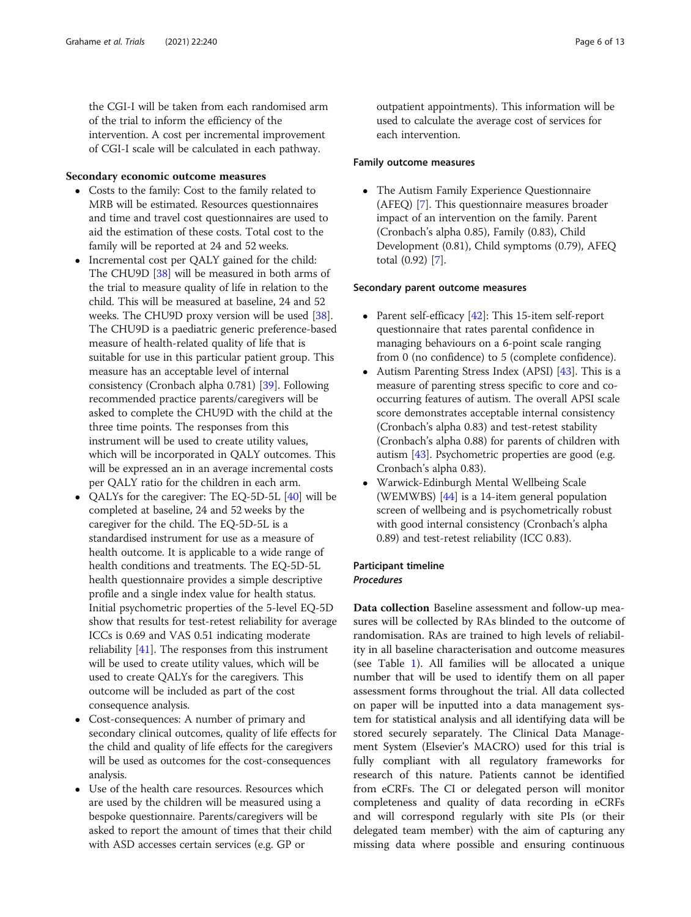the CGI-I will be taken from each randomised arm of the trial to inform the efficiency of the intervention. A cost per incremental improvement of CGI-I scale will be calculated in each pathway.

## Secondary economic outcome measures

- Costs to the family: Cost to the family related to MRB will be estimated. Resources questionnaires and time and travel cost questionnaires are used to aid the estimation of these costs. Total cost to the family will be reported at 24 and 52 weeks.
- Incremental cost per QALY gained for the child: The CHU9D [[38\]](#page-12-0) will be measured in both arms of the trial to measure quality of life in relation to the child. This will be measured at baseline, 24 and 52 weeks. The CHU9D proxy version will be used [\[38\]](#page-12-0). The CHU9D is a paediatric generic preference-based measure of health-related quality of life that is suitable for use in this particular patient group. This measure has an acceptable level of internal consistency (Cronbach alpha 0.781) [[39](#page-12-0)]. Following recommended practice parents/caregivers will be asked to complete the CHU9D with the child at the three time points. The responses from this instrument will be used to create utility values, which will be incorporated in QALY outcomes. This will be expressed an in an average incremental costs per QALY ratio for the children in each arm.
- QALYs for the caregiver: The EQ-5D-5L [[40\]](#page-12-0) will be completed at baseline, 24 and 52 weeks by the caregiver for the child. The EQ-5D-5L is a standardised instrument for use as a measure of health outcome. It is applicable to a wide range of health conditions and treatments. The EQ-5D-5L health questionnaire provides a simple descriptive profile and a single index value for health status. Initial psychometric properties of the 5-level EQ-5D show that results for test-retest reliability for average ICCs is 0.69 and VAS 0.51 indicating moderate reliability [[41\]](#page-12-0). The responses from this instrument will be used to create utility values, which will be used to create QALYs for the caregivers. This outcome will be included as part of the cost consequence analysis.
- Cost-consequences: A number of primary and secondary clinical outcomes, quality of life effects for the child and quality of life effects for the caregivers will be used as outcomes for the cost-consequences analysis.
- Use of the health care resources. Resources which are used by the children will be measured using a bespoke questionnaire. Parents/caregivers will be asked to report the amount of times that their child with ASD accesses certain services (e.g. GP or

outpatient appointments). This information will be used to calculate the average cost of services for each intervention.

## Family outcome measures

 The Autism Family Experience Questionnaire (AFEQ) [\[7\]](#page-11-0). This questionnaire measures broader impact of an intervention on the family. Parent (Cronbach's alpha 0.85), Family (0.83), Child Development (0.81), Child symptoms (0.79), AFEQ total (0.92) [[7\]](#page-11-0).

## Secondary parent outcome measures

- Parent self-efficacy [\[42](#page-12-0)]: This 15-item self-report questionnaire that rates parental confidence in managing behaviours on a 6-point scale ranging from 0 (no confidence) to 5 (complete confidence).
- Autism Parenting Stress Index (APSI) [\[43\]](#page-12-0). This is a measure of parenting stress specific to core and cooccurring features of autism. The overall APSI scale score demonstrates acceptable internal consistency (Cronbach's alpha 0.83) and test-retest stability (Cronbach's alpha 0.88) for parents of children with autism [[43](#page-12-0)]. Psychometric properties are good (e.g. Cronbach's alpha 0.83).
- Warwick-Edinburgh Mental Wellbeing Scale (WEMWBS) [\[44\]](#page-12-0) is a 14-item general population screen of wellbeing and is psychometrically robust with good internal consistency (Cronbach's alpha 0.89) and test-retest reliability (ICC 0.83).

## Participant timeline Procedures

Data collection Baseline assessment and follow-up measures will be collected by RAs blinded to the outcome of randomisation. RAs are trained to high levels of reliability in all baseline characterisation and outcome measures (see Table [1](#page-6-0)). All families will be allocated a unique number that will be used to identify them on all paper assessment forms throughout the trial. All data collected on paper will be inputted into a data management system for statistical analysis and all identifying data will be stored securely separately. The Clinical Data Management System (Elsevier's MACRO) used for this trial is fully compliant with all regulatory frameworks for research of this nature. Patients cannot be identified from eCRFs. The CI or delegated person will monitor completeness and quality of data recording in eCRFs and will correspond regularly with site PIs (or their delegated team member) with the aim of capturing any missing data where possible and ensuring continuous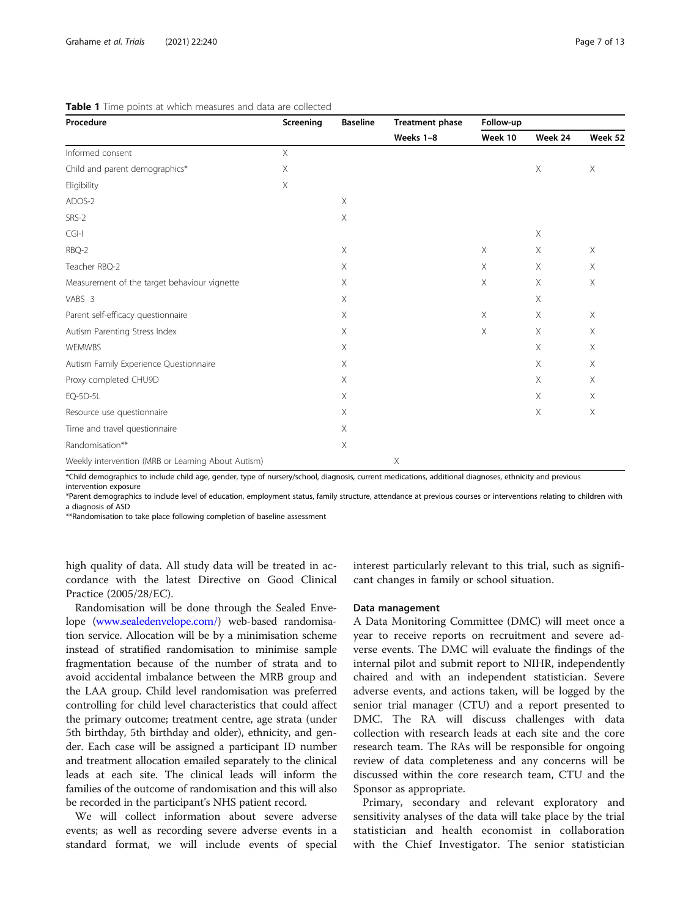| Procedure                                          | Screening | <b>Baseline</b> | <b>Treatment phase</b><br>Weeks 1-8 | Follow-up   |          |             |
|----------------------------------------------------|-----------|-----------------|-------------------------------------|-------------|----------|-------------|
|                                                    |           |                 |                                     | Week 10     | Week 24  | Week 52     |
| Informed consent                                   | $\times$  |                 |                                     |             |          |             |
| Child and parent demographics*                     | $\times$  |                 |                                     |             | $\times$ | $\times$    |
| Eligibility                                        | $\times$  |                 |                                     |             |          |             |
| ADOS-2                                             |           | $\times$        |                                     |             |          |             |
| SRS-2                                              |           | $\times$        |                                     |             |          |             |
| CGH                                                |           |                 |                                     |             | $\times$ |             |
| RBQ-2                                              |           | Χ               |                                     | X           | $\times$ | $\times$    |
| Teacher RBQ-2                                      |           | $\times$        |                                     | X           | $\times$ | $\times$    |
| Measurement of the target behaviour vignette       |           | $\mathsf X$     |                                     | $\mathsf X$ | $\times$ | $\mathsf X$ |
| VABS 3                                             |           | X               |                                     |             | $\times$ |             |
| Parent self-efficacy questionnaire                 |           | X               |                                     | Χ           | $\times$ | $\times$    |
| Autism Parenting Stress Index                      |           | $\times$        |                                     | Χ           | $\times$ | $\times$    |
| WEMWBS                                             |           | $\times$        |                                     |             | $\times$ | $\times$    |
| Autism Family Experience Questionnaire             |           | $\times$        |                                     |             | $\times$ | $\times$    |
| Proxy completed CHU9D                              |           | X               |                                     |             | X        | $\times$    |
| EQ-5D-5L                                           |           | X               |                                     |             | X        | $\times$    |
| Resource use questionnaire                         |           | Χ               |                                     |             | $\times$ | Χ           |
| Time and travel questionnaire                      |           | $\times$        |                                     |             |          |             |
| Randomisation**                                    |           | Χ               |                                     |             |          |             |
| Weekly intervention (MRB or Learning About Autism) |           |                 | Χ                                   |             |          |             |

<span id="page-6-0"></span>Table 1 Time points at which measures and data are collected

\*Child demographics to include child age, gender, type of nursery/school, diagnosis, current medications, additional diagnoses, ethnicity and previous intervention exposure

\*Parent demographics to include level of education, employment status, family structure, attendance at previous courses or interventions relating to children with a diagnosis of ASD

\*\*Randomisation to take place following completion of baseline assessment

high quality of data. All study data will be treated in accordance with the latest Directive on Good Clinical Practice (2005/28/EC).

Randomisation will be done through the Sealed Envelope ([www.sealedenvelope.com/\)](http://www.sealedenvelope.com/) web-based randomisation service. Allocation will be by a minimisation scheme instead of stratified randomisation to minimise sample fragmentation because of the number of strata and to avoid accidental imbalance between the MRB group and the LAA group. Child level randomisation was preferred controlling for child level characteristics that could affect the primary outcome; treatment centre, age strata (under 5th birthday, 5th birthday and older), ethnicity, and gender. Each case will be assigned a participant ID number and treatment allocation emailed separately to the clinical leads at each site. The clinical leads will inform the families of the outcome of randomisation and this will also be recorded in the participant's NHS patient record.

We will collect information about severe adverse events; as well as recording severe adverse events in a standard format, we will include events of special

interest particularly relevant to this trial, such as significant changes in family or school situation.

#### Data management

A Data Monitoring Committee (DMC) will meet once a year to receive reports on recruitment and severe adverse events. The DMC will evaluate the findings of the internal pilot and submit report to NIHR, independently chaired and with an independent statistician. Severe adverse events, and actions taken, will be logged by the senior trial manager (CTU) and a report presented to DMC. The RA will discuss challenges with data collection with research leads at each site and the core research team. The RAs will be responsible for ongoing review of data completeness and any concerns will be discussed within the core research team, CTU and the Sponsor as appropriate.

Primary, secondary and relevant exploratory and sensitivity analyses of the data will take place by the trial statistician and health economist in collaboration with the Chief Investigator. The senior statistician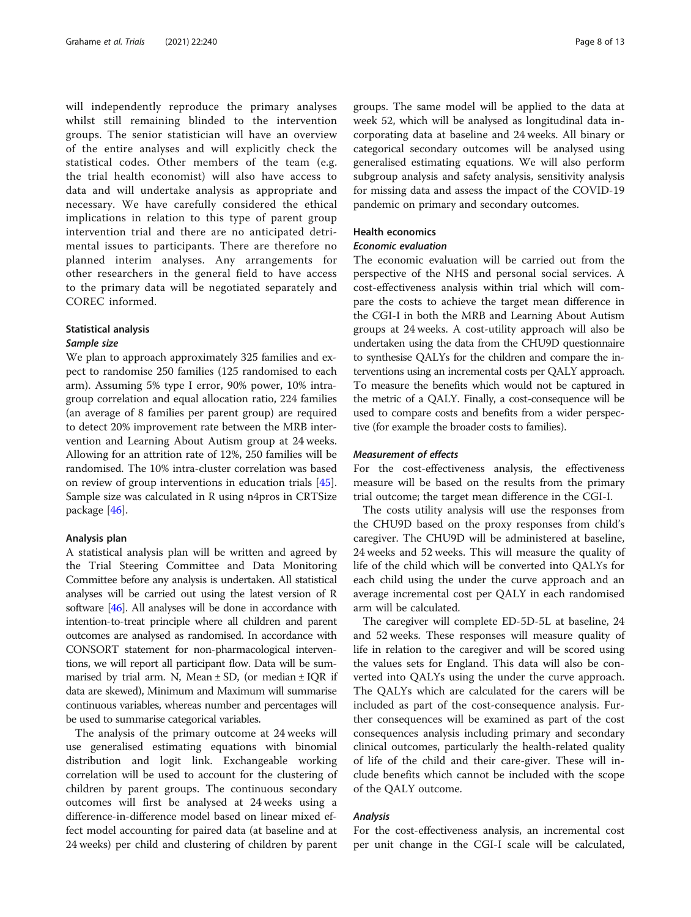will independently reproduce the primary analyses whilst still remaining blinded to the intervention groups. The senior statistician will have an overview of the entire analyses and will explicitly check the statistical codes. Other members of the team (e.g. the trial health economist) will also have access to data and will undertake analysis as appropriate and necessary. We have carefully considered the ethical implications in relation to this type of parent group intervention trial and there are no anticipated detrimental issues to participants. There are therefore no planned interim analyses. Any arrangements for other researchers in the general field to have access to the primary data will be negotiated separately and COREC informed.

#### Statistical analysis

#### Sample size

We plan to approach approximately 325 families and expect to randomise 250 families (125 randomised to each arm). Assuming 5% type I error, 90% power, 10% intragroup correlation and equal allocation ratio, 224 families (an average of 8 families per parent group) are required to detect 20% improvement rate between the MRB intervention and Learning About Autism group at 24 weeks. Allowing for an attrition rate of 12%, 250 families will be randomised. The 10% intra-cluster correlation was based on review of group interventions in education trials [\[45](#page-12-0)]. Sample size was calculated in R using n4pros in CRTSize package [\[46](#page-12-0)].

## Analysis plan

A statistical analysis plan will be written and agreed by the Trial Steering Committee and Data Monitoring Committee before any analysis is undertaken. All statistical analyses will be carried out using the latest version of R software [[46](#page-12-0)]. All analyses will be done in accordance with intention-to-treat principle where all children and parent outcomes are analysed as randomised. In accordance with CONSORT statement for non-pharmacological interventions, we will report all participant flow. Data will be summarised by trial arm. N, Mean  $\pm$  SD, (or median  $\pm$  IQR if data are skewed), Minimum and Maximum will summarise continuous variables, whereas number and percentages will be used to summarise categorical variables.

The analysis of the primary outcome at 24 weeks will use generalised estimating equations with binomial distribution and logit link. Exchangeable working correlation will be used to account for the clustering of children by parent groups. The continuous secondary outcomes will first be analysed at 24 weeks using a difference-in-difference model based on linear mixed effect model accounting for paired data (at baseline and at 24 weeks) per child and clustering of children by parent groups. The same model will be applied to the data at week 52, which will be analysed as longitudinal data incorporating data at baseline and 24 weeks. All binary or categorical secondary outcomes will be analysed using generalised estimating equations. We will also perform subgroup analysis and safety analysis, sensitivity analysis for missing data and assess the impact of the COVID-19 pandemic on primary and secondary outcomes.

## Health economics

## Economic evaluation

The economic evaluation will be carried out from the perspective of the NHS and personal social services. A cost-effectiveness analysis within trial which will compare the costs to achieve the target mean difference in the CGI-I in both the MRB and Learning About Autism groups at 24 weeks. A cost-utility approach will also be undertaken using the data from the CHU9D questionnaire to synthesise QALYs for the children and compare the interventions using an incremental costs per QALY approach. To measure the benefits which would not be captured in the metric of a QALY. Finally, a cost-consequence will be used to compare costs and benefits from a wider perspective (for example the broader costs to families).

#### Measurement of effects

For the cost-effectiveness analysis, the effectiveness measure will be based on the results from the primary trial outcome; the target mean difference in the CGI-I.

The costs utility analysis will use the responses from the CHU9D based on the proxy responses from child's caregiver. The CHU9D will be administered at baseline, 24 weeks and 52 weeks. This will measure the quality of life of the child which will be converted into QALYs for each child using the under the curve approach and an average incremental cost per QALY in each randomised arm will be calculated.

The caregiver will complete ED-5D-5L at baseline, 24 and 52 weeks. These responses will measure quality of life in relation to the caregiver and will be scored using the values sets for England. This data will also be converted into QALYs using the under the curve approach. The QALYs which are calculated for the carers will be included as part of the cost-consequence analysis. Further consequences will be examined as part of the cost consequences analysis including primary and secondary clinical outcomes, particularly the health-related quality of life of the child and their care-giver. These will include benefits which cannot be included with the scope of the QALY outcome.

#### Analysis

For the cost-effectiveness analysis, an incremental cost per unit change in the CGI-I scale will be calculated,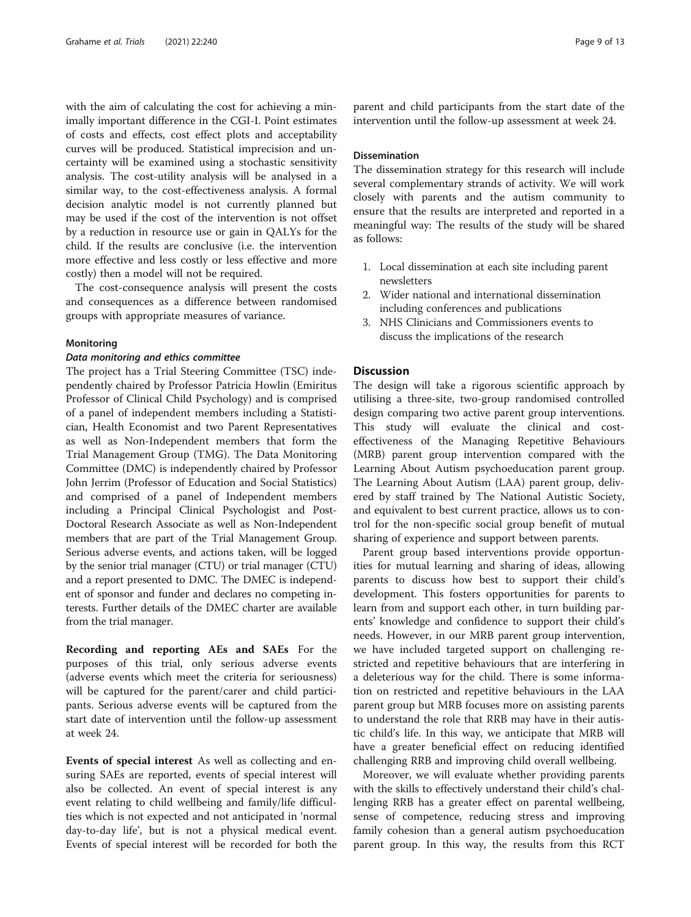with the aim of calculating the cost for achieving a minimally important difference in the CGI-I. Point estimates of costs and effects, cost effect plots and acceptability curves will be produced. Statistical imprecision and uncertainty will be examined using a stochastic sensitivity analysis. The cost-utility analysis will be analysed in a similar way, to the cost-effectiveness analysis. A formal decision analytic model is not currently planned but may be used if the cost of the intervention is not offset by a reduction in resource use or gain in QALYs for the child. If the results are conclusive (i.e. the intervention more effective and less costly or less effective and more costly) then a model will not be required.

The cost-consequence analysis will present the costs and consequences as a difference between randomised groups with appropriate measures of variance.

#### Monitoring

#### Data monitoring and ethics committee

The project has a Trial Steering Committee (TSC) independently chaired by Professor Patricia Howlin (Emiritus Professor of Clinical Child Psychology) and is comprised of a panel of independent members including a Statistician, Health Economist and two Parent Representatives as well as Non-Independent members that form the Trial Management Group (TMG). The Data Monitoring Committee (DMC) is independently chaired by Professor John Jerrim (Professor of Education and Social Statistics) and comprised of a panel of Independent members including a Principal Clinical Psychologist and Post-Doctoral Research Associate as well as Non-Independent members that are part of the Trial Management Group. Serious adverse events, and actions taken, will be logged by the senior trial manager (CTU) or trial manager (CTU) and a report presented to DMC. The DMEC is independent of sponsor and funder and declares no competing interests. Further details of the DMEC charter are available from the trial manager.

Recording and reporting AEs and SAEs For the purposes of this trial, only serious adverse events (adverse events which meet the criteria for seriousness) will be captured for the parent/carer and child participants. Serious adverse events will be captured from the start date of intervention until the follow-up assessment at week 24.

Events of special interest As well as collecting and ensuring SAEs are reported, events of special interest will also be collected. An event of special interest is any event relating to child wellbeing and family/life difficulties which is not expected and not anticipated in 'normal day-to-day life', but is not a physical medical event. Events of special interest will be recorded for both the

parent and child participants from the start date of the intervention until the follow-up assessment at week 24.

## Dissemination

The dissemination strategy for this research will include several complementary strands of activity. We will work closely with parents and the autism community to ensure that the results are interpreted and reported in a meaningful way: The results of the study will be shared as follows:

- 1. Local dissemination at each site including parent newsletters
- 2. Wider national and international dissemination including conferences and publications
- 3. NHS Clinicians and Commissioners events to discuss the implications of the research

## Discussion

The design will take a rigorous scientific approach by utilising a three-site, two-group randomised controlled design comparing two active parent group interventions. This study will evaluate the clinical and costeffectiveness of the Managing Repetitive Behaviours (MRB) parent group intervention compared with the Learning About Autism psychoeducation parent group. The Learning About Autism (LAA) parent group, delivered by staff trained by The National Autistic Society, and equivalent to best current practice, allows us to control for the non-specific social group benefit of mutual sharing of experience and support between parents.

Parent group based interventions provide opportunities for mutual learning and sharing of ideas, allowing parents to discuss how best to support their child's development. This fosters opportunities for parents to learn from and support each other, in turn building parents' knowledge and confidence to support their child's needs. However, in our MRB parent group intervention, we have included targeted support on challenging restricted and repetitive behaviours that are interfering in a deleterious way for the child. There is some information on restricted and repetitive behaviours in the LAA parent group but MRB focuses more on assisting parents to understand the role that RRB may have in their autistic child's life. In this way, we anticipate that MRB will have a greater beneficial effect on reducing identified challenging RRB and improving child overall wellbeing.

Moreover, we will evaluate whether providing parents with the skills to effectively understand their child's challenging RRB has a greater effect on parental wellbeing, sense of competence, reducing stress and improving family cohesion than a general autism psychoeducation parent group. In this way, the results from this RCT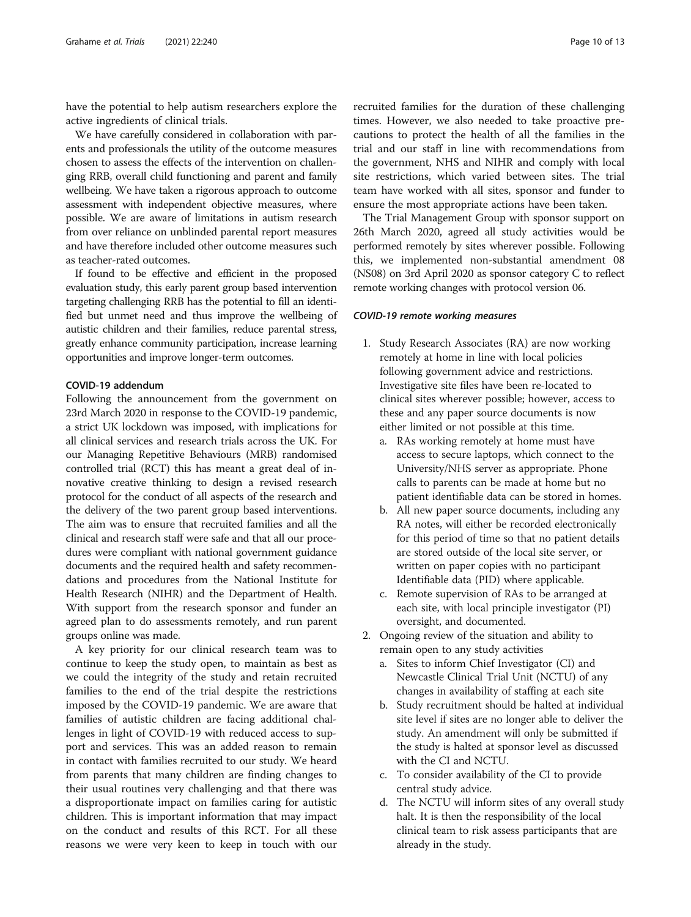have the potential to help autism researchers explore the active ingredients of clinical trials.

We have carefully considered in collaboration with parents and professionals the utility of the outcome measures chosen to assess the effects of the intervention on challenging RRB, overall child functioning and parent and family wellbeing. We have taken a rigorous approach to outcome assessment with independent objective measures, where possible. We are aware of limitations in autism research from over reliance on unblinded parental report measures and have therefore included other outcome measures such as teacher-rated outcomes.

If found to be effective and efficient in the proposed evaluation study, this early parent group based intervention targeting challenging RRB has the potential to fill an identified but unmet need and thus improve the wellbeing of autistic children and their families, reduce parental stress, greatly enhance community participation, increase learning opportunities and improve longer-term outcomes.

## COVID-19 addendum

Following the announcement from the government on 23rd March 2020 in response to the COVID-19 pandemic, a strict UK lockdown was imposed, with implications for all clinical services and research trials across the UK. For our Managing Repetitive Behaviours (MRB) randomised controlled trial (RCT) this has meant a great deal of innovative creative thinking to design a revised research protocol for the conduct of all aspects of the research and the delivery of the two parent group based interventions. The aim was to ensure that recruited families and all the clinical and research staff were safe and that all our procedures were compliant with national government guidance documents and the required health and safety recommendations and procedures from the National Institute for Health Research (NIHR) and the Department of Health. With support from the research sponsor and funder an agreed plan to do assessments remotely, and run parent groups online was made.

A key priority for our clinical research team was to continue to keep the study open, to maintain as best as we could the integrity of the study and retain recruited families to the end of the trial despite the restrictions imposed by the COVID-19 pandemic. We are aware that families of autistic children are facing additional challenges in light of COVID-19 with reduced access to support and services. This was an added reason to remain in contact with families recruited to our study. We heard from parents that many children are finding changes to their usual routines very challenging and that there was a disproportionate impact on families caring for autistic children. This is important information that may impact on the conduct and results of this RCT. For all these reasons we were very keen to keep in touch with our

recruited families for the duration of these challenging times. However, we also needed to take proactive precautions to protect the health of all the families in the trial and our staff in line with recommendations from the government, NHS and NIHR and comply with local site restrictions, which varied between sites. The trial team have worked with all sites, sponsor and funder to ensure the most appropriate actions have been taken.

The Trial Management Group with sponsor support on 26th March 2020, agreed all study activities would be performed remotely by sites wherever possible. Following this, we implemented non-substantial amendment 08 (NS08) on 3rd April 2020 as sponsor category C to reflect remote working changes with protocol version 06.

#### COVID-19 remote working measures

- 1. Study Research Associates (RA) are now working remotely at home in line with local policies following government advice and restrictions. Investigative site files have been re-located to clinical sites wherever possible; however, access to these and any paper source documents is now either limited or not possible at this time.
	- a. RAs working remotely at home must have access to secure laptops, which connect to the University/NHS server as appropriate. Phone calls to parents can be made at home but no patient identifiable data can be stored in homes.
	- b. All new paper source documents, including any RA notes, will either be recorded electronically for this period of time so that no patient details are stored outside of the local site server, or written on paper copies with no participant Identifiable data (PID) where applicable.
	- c. Remote supervision of RAs to be arranged at each site, with local principle investigator (PI) oversight, and documented.
- 2. Ongoing review of the situation and ability to remain open to any study activities
	- a. Sites to inform Chief Investigator (CI) and Newcastle Clinical Trial Unit (NCTU) of any changes in availability of staffing at each site
	- b. Study recruitment should be halted at individual site level if sites are no longer able to deliver the study. An amendment will only be submitted if the study is halted at sponsor level as discussed with the CI and NCTU.
	- c. To consider availability of the CI to provide central study advice.
	- d. The NCTU will inform sites of any overall study halt. It is then the responsibility of the local clinical team to risk assess participants that are already in the study.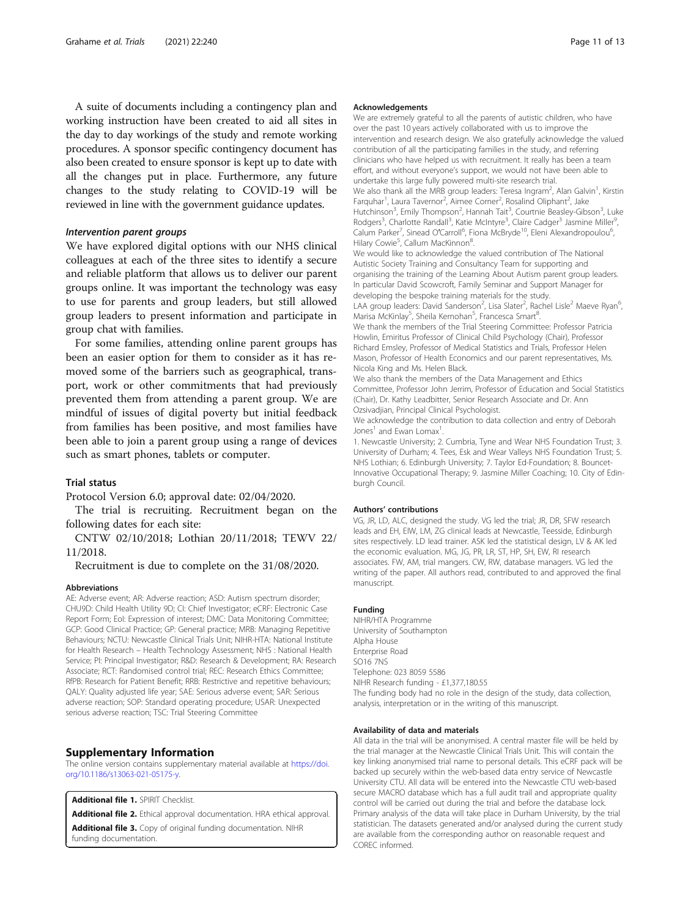A suite of documents including a contingency plan and working instruction have been created to aid all sites in the day to day workings of the study and remote working procedures. A sponsor specific contingency document has also been created to ensure sponsor is kept up to date with all the changes put in place. Furthermore, any future changes to the study relating to COVID-19 will be reviewed in line with the government guidance updates.

## Intervention parent groups

We have explored digital options with our NHS clinical colleagues at each of the three sites to identify a secure and reliable platform that allows us to deliver our parent groups online. It was important the technology was easy to use for parents and group leaders, but still allowed group leaders to present information and participate in group chat with families.

For some families, attending online parent groups has been an easier option for them to consider as it has removed some of the barriers such as geographical, transport, work or other commitments that had previously prevented them from attending a parent group. We are mindful of issues of digital poverty but initial feedback from families has been positive, and most families have been able to join a parent group using a range of devices such as smart phones, tablets or computer.

#### Trial status

Protocol Version 6.0; approval date: 02/04/2020.

The trial is recruiting. Recruitment began on the following dates for each site:

CNTW 02/10/2018; Lothian 20/11/2018; TEWV 22/ 11/2018.

Recruitment is due to complete on the 31/08/2020.

#### **Abbreviations**

AE: Adverse event; AR: Adverse reaction; ASD: Autism spectrum disorder; CHU9D: Child Health Utility 9D; CI: Chief Investigator; eCRF: Electronic Case Report Form; EoI: Expression of interest; DMC: Data Monitoring Committee; GCP: Good Clinical Practice; GP: General practice; MRB: Managing Repetitive Behaviours; NCTU: Newcastle Clinical Trials Unit; NIHR-HTA: National Institute for Health Research – Health Technology Assessment; NHS : National Health Service; PI: Principal Investigator; R&D: Research & Development; RA: Research Associate; RCT: Randomised control trial; REC: Research Ethics Committee; RfPB: Research for Patient Benefit; RRB: Restrictive and repetitive behaviours; QALY: Quality adjusted life year; SAE: Serious adverse event; SAR: Serious adverse reaction; SOP: Standard operating procedure; USAR: Unexpected serious adverse reaction; TSC: Trial Steering Committee

## Supplementary Information

The online version contains supplementary material available at [https://doi.](https://doi.org/10.1186/s13063-021-05175-y) [org/10.1186/s13063-021-05175-y](https://doi.org/10.1186/s13063-021-05175-y).

Additional file 1. SPIRIT Checklist

Additional file 2. Ethical approval documentation. HRA ethical approval.

Additional file 3. Copy of original funding documentation. NIHR funding documentation.

#### Acknowledgements

We are extremely grateful to all the parents of autistic children, who have over the past 10 years actively collaborated with us to improve the intervention and research design. We also gratefully acknowledge the valued contribution of all the participating families in the study, and referring clinicians who have helped us with recruitment. It really has been a team effort, and without everyone's support, we would not have been able to undertake this large fully powered multi-site research trial. We also thank all the MRB group leaders: Teresa Ingram<sup>2</sup>, Alan Galvin<sup>1</sup>, Kirstin Farquhar<sup>1</sup>, Laura Tavernor<sup>2</sup>, Aimee Corner<sup>2</sup>, Rosalind Oliphant<sup>2</sup>, Jake Hutchinson<sup>3</sup>, Emily Thompson<sup>2</sup>, Hannah Tait<sup>3</sup>, Courtnie Beasley-Gibson<sup>3</sup>, Luke Rodgers<sup>3</sup>, Charlotte Randall<sup>3</sup>, Katie McIntyre<sup>3</sup>, Claire Cadger<sup>3</sup> Jasmine Miller<sup>s</sup> , Calum Parker<sup>7</sup>, Sinead O'Carroll<sup>6</sup>, Fiona McBryde<sup>10</sup>, Eleni Alexandropoulou<sup>6</sup> ,

Hilary Cowie<sup>5</sup>, Callum MacKinnon<sup>8</sup> We would like to acknowledge the valued contribution of The National Autistic Society Training and Consultancy Team for supporting and organising the training of the Learning About Autism parent group leaders. In particular David Scowcroft, Family Seminar and Support Manager for developing the bespoke training materials for the study.

LAA group leaders: David Sanderson<sup>2</sup>, Lisa Slater<sup>2</sup>, Rachel Lisle<sup>2</sup> Maeve Ryan<sup>6</sup> , Marisa McKinlay<sup>5</sup>, Sheila Kernohan<sup>5</sup>, Francesca Smart<sup>8</sup>

We thank the members of the Trial Steering Committee: Professor Patricia Howlin, Emiritus Professor of Clinical Child Psychology (Chair), Professor Richard Emsley, Professor of Medical Statistics and Trials, Professor Helen Mason, Professor of Health Economics and our parent representatives, Ms. Nicola King and Ms. Helen Black.

We also thank the members of the Data Management and Ethics Committee, Professor John Jerrim, Professor of Education and Social Statistics (Chair), Dr. Kathy Leadbitter, Senior Research Associate and Dr. Ann Ozsivadjian, Principal Clinical Psychologist.

We acknowledge the contribution to data collection and entry of Deborah Jones<sup>1</sup> and Ewan Lomax<sup>1</sup>. .

1. Newcastle University; 2. Cumbria, Tyne and Wear NHS Foundation Trust; 3. University of Durham; 4. Tees, Esk and Wear Valleys NHS Foundation Trust; 5. NHS Lothian; 6. Edinburgh University; 7. Taylor Ed-Foundation; 8. Bouncet-Innovative Occupational Therapy; 9. Jasmine Miller Coaching; 10. City of Edinburgh Council.

#### Authors' contributions

VG, JR, LD, ALC, designed the study. VG led the trial; JR, DR, SFW research leads and EH, EIW, LM, ZG clinical leads at Newcastle, Teesside, Edinburgh sites respectively. LD lead trainer. ASK led the statistical design, LV & AK led the economic evaluation. MG, JG, PR, LR, ST, HP, SH, EW, RI research associates. FW, AM, trial mangers. CW, RW, database managers. VG led the writing of the paper. All authors read, contributed to and approved the final manuscript.

#### Funding

NIHR/HTA Programme University of Southampton Alpha House Enterprise Road SO16 7NS Telephone: 023 8059 5586 NIHR Research funding - £1,377,180.55 The funding body had no role in the design of the study, data collection, analysis, interpretation or in the writing of this manuscript.

#### Availability of data and materials

All data in the trial will be anonymised. A central master file will be held by the trial manager at the Newcastle Clinical Trials Unit. This will contain the key linking anonymised trial name to personal details. This eCRF pack will be backed up securely within the web-based data entry service of Newcastle University CTU. All data will be entered into the Newcastle CTU web-based secure MACRO database which has a full audit trail and appropriate quality control will be carried out during the trial and before the database lock. Primary analysis of the data will take place in Durham University, by the trial statistician. The datasets generated and/or analysed during the current study are available from the corresponding author on reasonable request and COREC informed.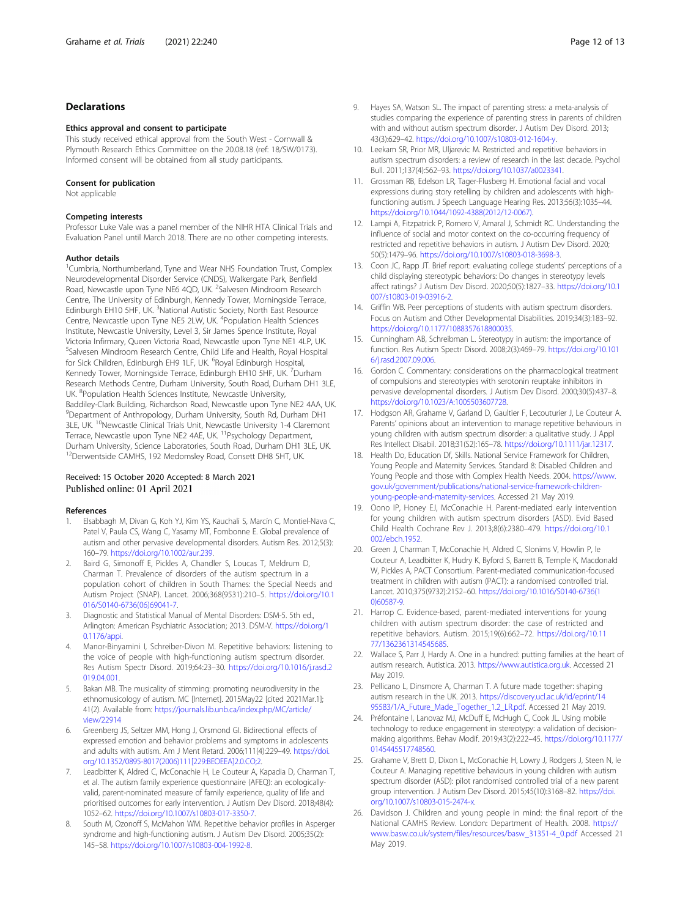## <span id="page-11-0"></span>Declarations

#### Ethics approval and consent to participate

This study received ethical approval from the South West - Cornwall & Plymouth Research Ethics Committee on the 20.08.18 (ref: 18/SW/0173). Informed consent will be obtained from all study participants.

#### Consent for publication

Not applicable

#### Competing interests

Professor Luke Vale was a panel member of the NIHR HTA Clinical Trials and Evaluation Panel until March 2018. There are no other competing interests.

#### Author details

<sup>1</sup>Cumbria, Northumberland, Tyne and Wear NHS Foundation Trust, Complex Neurodevelopmental Disorder Service (CNDS), Walkergate Park, Benfield Road, Newcastle upon Tyne NE6 4QD, UK. <sup>2</sup>Salvesen Mindroom Research Centre, The University of Edinburgh, Kennedy Tower, Morningside Terrace, Edinburgh EH10 5HF, UK. <sup>3</sup>National Autistic Society, North East Resource Centre, Newcastle upon Tyne NE5 2LW, UK. <sup>4</sup>Population Health Sciences Institute, Newcastle University, Level 3, Sir James Spence Institute, Royal Victoria Infirmary, Queen Victoria Road, Newcastle upon Tyne NE1 4LP, UK. 5 Salvesen Mindroom Research Centre, Child Life and Health, Royal Hospital for Sick Children, Edinburgh EH9 1LF, UK. <sup>6</sup>Royal Edinburgh Hospital, Kennedy Tower, Morningside Terrace, Edinburgh EH10 5HF, UK. <sup>7</sup>Durham Research Methods Centre, Durham University, South Road, Durham DH1 3LE, UK. <sup>8</sup>Population Health Sciences Institute, Newcastle University, Baddiley-Clark Building, Richardson Road, Newcastle upon Tyne NE2 4AA, UK. 9 Department of Anthropology, Durham University, South Rd, Durham DH1 3LE, UK. <sup>10</sup>Newcastle Clinical Trials Unit, Newcastle University 1-4 Claremont Terrace, Newcastle upon Tyne NE2 4AE, UK. <sup>11</sup>Psychology Department, Durham University, Science Laboratories, South Road, Durham DH1 3LE, UK. 12Derwentside CAMHS, 192 Medomsley Road, Consett DH8 5HT, UK.

## Received: 15 October 2020 Accepted: 8 March 2021 Published online: 01 April 2021

#### References

- 1. Elsabbagh M, Divan G, Koh YJ, Kim YS, Kauchali S, Marcín C, Montiel-Nava C, Patel V, Paula CS, Wang C, Yasamy MT, Fombonne E. Global prevalence of autism and other pervasive developmental disorders. Autism Res. 2012;5(3): 160–79. <https://doi.org/10.1002/aur.239>.
- 2. Baird G, Simonoff E, Pickles A, Chandler S, Loucas T, Meldrum D, Charman T. Prevalence of disorders of the autism spectrum in a population cohort of children in South Thames: the Special Needs and Autism Project (SNAP). Lancet. 2006;368(9531):210–5. [https://doi.org/10.1](https://doi.org/10.1016/S0140-6736(06)69041-7) [016/S0140-6736\(06\)69041-7](https://doi.org/10.1016/S0140-6736(06)69041-7).
- 3. Diagnostic and Statistical Manual of Mental Disorders: DSM-5. 5th ed., Arlington: American Psychiatric Association; 2013. DSM-V. [https://doi.org/1](https://doi.org/10.1176/appi) [0.1176/appi.](https://doi.org/10.1176/appi)
- 4. Manor-Binyamini I, Schreiber-Divon M. Repetitive behaviors: listening to the voice of people with high-functioning autism spectrum disorder. Res Autism Spectr Disord. 2019;64:23–30. [https://doi.org/10.1016/j.rasd.2](https://doi.org/10.1016/j.rasd.2019.04.001) [019.04.001](https://doi.org/10.1016/j.rasd.2019.04.001).
- 5. Bakan MB. The musicality of stimming: promoting neurodiversity in the ethnomusicology of autism. MC [Internet]. 2015May22 [cited 2021Mar.1]; 41(2). Available from: [https://journals.lib.unb.ca/index.php/MC/article/](https://journals.lib.unb.ca/index.php/MC/article/view/22914) [view/22914](https://journals.lib.unb.ca/index.php/MC/article/view/22914)
- 6. Greenberg JS, Seltzer MM, Hong J, Orsmond GI. Bidirectional effects of expressed emotion and behavior problems and symptoms in adolescents and adults with autism. Am J Ment Retard. 2006;111(4):229–49. [https://doi.](https://doi.org/10.1352/0895-8017(2006)111[229:BEOEEA]2.0.CO;2) [org/10.1352/0895-8017\(2006\)111\[229:BEOEEA\]2.0.CO;2.](https://doi.org/10.1352/0895-8017(2006)111[229:BEOEEA]2.0.CO;2)
- 7. Leadbitter K, Aldred C, McConachie H, Le Couteur A, Kapadia D, Charman T, et al. The autism family experience questionnaire (AFEQ): an ecologicallyvalid, parent-nominated measure of family experience, quality of life and prioritised outcomes for early intervention. J Autism Dev Disord. 2018;48(4): 1052–62. <https://doi.org/10.1007/s10803-017-3350-7>.
- South M, Ozonoff S, McMahon WM. Repetitive behavior profiles in Asperger syndrome and high-functioning autism. J Autism Dev Disord. 2005;35(2): 145–58. <https://doi.org/10.1007/s10803-004-1992-8>.
- 9. Hayes SA, Watson SL. The impact of parenting stress: a meta-analysis of studies comparing the experience of parenting stress in parents of children with and without autism spectrum disorder. J Autism Dev Disord. 2013; 43(3):629–42. [https://doi.org/10.1007/s10803-012-1604-y.](https://doi.org/10.1007/s10803-012-1604-y)
- 10. Leekam SR, Prior MR, Uljarevic M. Restricted and repetitive behaviors in autism spectrum disorders: a review of research in the last decade. Psychol Bull. 2011;137(4):562–93. [https://doi.org/10.1037/a0023341.](https://doi.org/10.1037/a0023341)
- 11. Grossman RB, Edelson LR, Tager-Flusberg H. Emotional facial and vocal expressions during story retelling by children and adolescents with highfunctioning autism. J Speech Language Hearing Res. 2013;56(3):1035–44. [https://doi.org/10.1044/1092-4388\(2012/12-0067\).](https://doi.org/10.1044/1092-4388(2012/12-0067))
- 12. Lampi A, Fitzpatrick P, Romero V, Amaral J, Schmidt RC. Understanding the influence of social and motor context on the co-occurring frequency of restricted and repetitive behaviors in autism. J Autism Dev Disord. 2020; 50(5):1479–96. [https://doi.org/10.1007/s10803-018-3698-3.](https://doi.org/10.1007/s10803-018-3698-3)
- 13. Coon JC, Rapp JT. Brief report: evaluating college students' perceptions of a child displaying stereotypic behaviors: Do changes in stereotypy levels affect ratings? J Autism Dev Disord. 2020;50(5):1827–33. [https://doi.org/10.1](https://doi.org/10.1007/s10803-019-03916-2) [007/s10803-019-03916-2](https://doi.org/10.1007/s10803-019-03916-2).
- 14. Griffin WB. Peer perceptions of students with autism spectrum disorders. Focus on Autism and Other Developmental Disabilities. 2019;34(3):183–92. [https://doi.org/10.1177/1088357618800035.](https://doi.org/10.1177/1088357618800035)
- 15. Cunningham AB, Schreibman L. Stereotypy in autism: the importance of function. Res Autism Spectr Disord. 2008;2(3):469–79. [https://doi.org/10.101](https://doi.org/10.1016/j.rasd.2007.09.006) [6/j.rasd.2007.09.006](https://doi.org/10.1016/j.rasd.2007.09.006).
- 16. Gordon C. Commentary: considerations on the pharmacological treatment of compulsions and stereotypies with serotonin reuptake inhibitors in pervasive developmental disorders. J Autism Dev Disord. 2000;30(5):437–8. [https://doi.org/10.1023/A:1005503607728.](https://doi.org/10.1023/A:1005503607728)
- 17. Hodgson AR, Grahame V, Garland D, Gaultier F, Lecouturier J, Le Couteur A. Parents' opinions about an intervention to manage repetitive behaviours in young children with autism spectrum disorder: a qualitative study. J Appl Res Intellect Disabil. 2018;31(S2):165–78. <https://doi.org/10.1111/jar.12317>.
- 18. Health Do, Education Df, Skills. National Service Framework for Children, Young People and Maternity Services. Standard 8: Disabled Children and Young People and those with Complex Health Needs. 2004. [https://www.](https://www.gov.uk/government/publications/national-service-framework-children-young-people-and-maternity-services) [gov.uk/government/publications/national-service-framework-children](https://www.gov.uk/government/publications/national-service-framework-children-young-people-and-maternity-services)[young-people-and-maternity-services.](https://www.gov.uk/government/publications/national-service-framework-children-young-people-and-maternity-services) Accessed 21 May 2019.
- 19. Oono IP, Honey EJ, McConachie H. Parent-mediated early intervention for young children with autism spectrum disorders (ASD). Evid Based Child Health Cochrane Rev J. 2013;8(6):2380–479. [https://doi.org/10.1](https://doi.org/10.1002/ebch.1952) [002/ebch.1952.](https://doi.org/10.1002/ebch.1952)
- 20. Green J, Charman T, McConachie H, Aldred C, Slonims V, Howlin P, le Couteur A, Leadbitter K, Hudry K, Byford S, Barrett B, Temple K, Macdonald W, Pickles A, PACT Consortium. Parent-mediated communication-focused treatment in children with autism (PACT): a randomised controlled trial. Lancet. 2010;375(9732):2152–60. [https://doi.org/10.1016/S0140-6736\(1](https://doi.org/10.1016/S0140-6736(10)60587-9) [0\)60587-9.](https://doi.org/10.1016/S0140-6736(10)60587-9)
- 21. Harrop C. Evidence-based, parent-mediated interventions for young children with autism spectrum disorder: the case of restricted and repetitive behaviors. Autism. 2015;19(6):662–72. [https://doi.org/10.11](https://doi.org/10.1177/1362361314545685) [77/1362361314545685](https://doi.org/10.1177/1362361314545685).
- 22. Wallace S, Parr J, Hardy A. One in a hundred: putting families at the heart of autism research. Autistica. 2013. <https://www.autistica.org.uk>. Accessed 21 May 2019.
- 23. Pellicano L, Dinsmore A, Charman T. A future made together: shaping autism research in the UK. 2013. [https://discovery.ucl.ac.uk/id/eprint/14](https://discovery.ucl.ac.uk/id/eprint/1495583/1/A_Future_Made_Together_1.2_LR.pdf) [95583/1/A\\_Future\\_Made\\_Together\\_1.2\\_LR.pdf.](https://discovery.ucl.ac.uk/id/eprint/1495583/1/A_Future_Made_Together_1.2_LR.pdf) Accessed 21 May 2019.
- 24. Préfontaine I, Lanovaz MJ, McDuff E, McHugh C, Cook JL. Using mobile technology to reduce engagement in stereotypy: a validation of decisionmaking algorithms. Behav Modif. 2019;43(2):222–45. [https://doi.org/10.1177/](https://doi.org/10.1177/0145445517748560) [0145445517748560](https://doi.org/10.1177/0145445517748560).
- 25. Grahame V, Brett D, Dixon L, McConachie H, Lowry J, Rodgers J, Steen N, le Couteur A. Managing repetitive behaviours in young children with autism spectrum disorder (ASD): pilot randomised controlled trial of a new parent group intervention. J Autism Dev Disord. 2015;45(10):3168–82. [https://doi.](https://doi.org/10.1007/s10803-015-2474-x) [org/10.1007/s10803-015-2474-x.](https://doi.org/10.1007/s10803-015-2474-x)
- 26. Davidson J. Children and young people in mind: the final report of the National CAMHS Review. London: Department of Health. 2008. [https://](https://www.basw.co.uk/system/files/resources/basw_31351-4_0.pdf) [www.basw.co.uk/system/files/resources/basw\\_31351-4\\_0.pdf](https://www.basw.co.uk/system/files/resources/basw_31351-4_0.pdf) Accessed 21 May 2019.